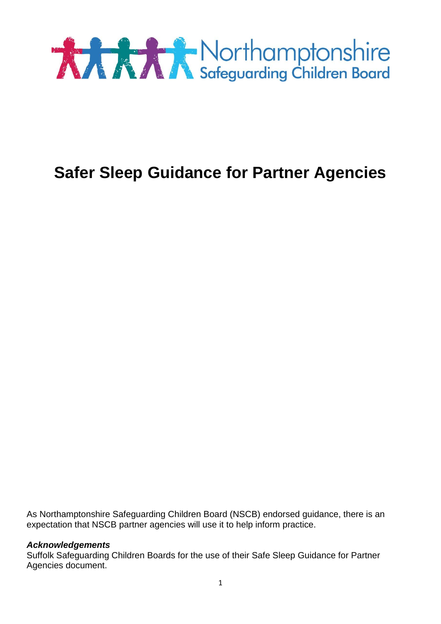

# **Safer Sleep Guidance for Partner Agencies**

As Northamptonshire Safeguarding Children Board (NSCB) endorsed guidance, there is an expectation that NSCB partner agencies will use it to help inform practice.

#### *Acknowledgements*

Suffolk Safeguarding Children Boards for the use of their Safe Sleep Guidance for Partner Agencies document.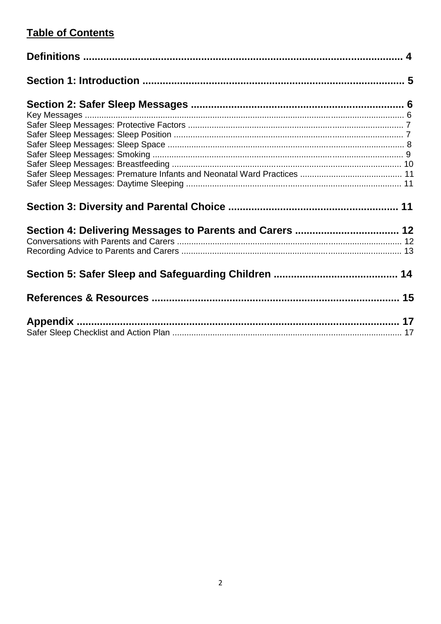# **Table of Contents**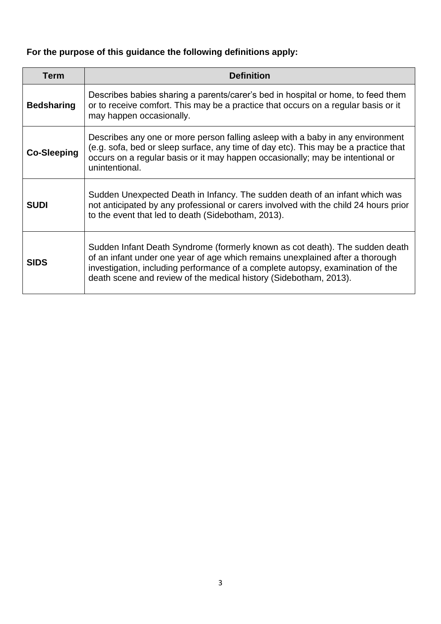# **For the purpose of this guidance the following definitions apply:**

| <b>Term</b>        | <b>Definition</b>                                                                                                                                                                                                                                                                                                    |
|--------------------|----------------------------------------------------------------------------------------------------------------------------------------------------------------------------------------------------------------------------------------------------------------------------------------------------------------------|
| <b>Bedsharing</b>  | Describes babies sharing a parents/carer's bed in hospital or home, to feed them<br>or to receive comfort. This may be a practice that occurs on a regular basis or it<br>may happen occasionally.                                                                                                                   |
| <b>Co-Sleeping</b> | Describes any one or more person falling asleep with a baby in any environment<br>(e.g. sofa, bed or sleep surface, any time of day etc). This may be a practice that<br>occurs on a regular basis or it may happen occasionally; may be intentional or<br>unintentional.                                            |
| <b>SUDI</b>        | Sudden Unexpected Death in Infancy. The sudden death of an infant which was<br>not anticipated by any professional or carers involved with the child 24 hours prior<br>to the event that led to death (Sidebotham, 2013).                                                                                            |
| <b>SIDS</b>        | Sudden Infant Death Syndrome (formerly known as cot death). The sudden death<br>of an infant under one year of age which remains unexplained after a thorough<br>investigation, including performance of a complete autopsy, examination of the<br>death scene and review of the medical history (Sidebotham, 2013). |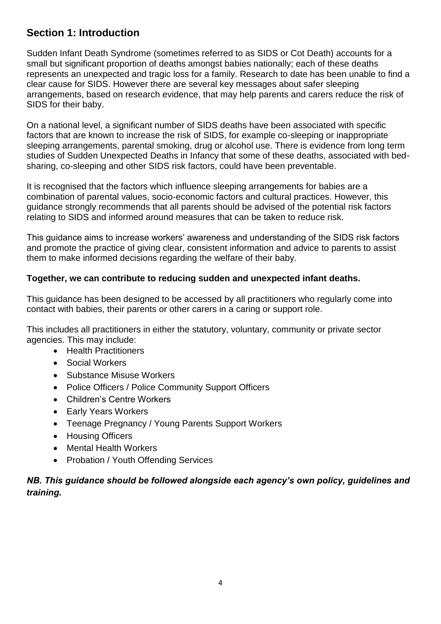# **Section 1: Introduction**

Sudden Infant Death Syndrome (sometimes referred to as SIDS or Cot Death) accounts for a small but significant proportion of deaths amongst babies nationally; each of these deaths represents an unexpected and tragic loss for a family. Research to date has been unable to find a clear cause for SIDS. However there are several key messages about safer sleeping arrangements, based on research evidence, that may help parents and carers reduce the risk of SIDS for their baby.

On a national level, a significant number of SIDS deaths have been associated with specific factors that are known to increase the risk of SIDS, for example co-sleeping or inappropriate sleeping arrangements, parental smoking, drug or alcohol use. There is evidence from long term studies of Sudden Unexpected Deaths in Infancy that some of these deaths, associated with bedsharing, co-sleeping and other SIDS risk factors, could have been preventable.

It is recognised that the factors which influence sleeping arrangements for babies are a combination of parental values, socio-economic factors and cultural practices. However, this guidance strongly recommends that all parents should be advised of the potential risk factors relating to SIDS and informed around measures that can be taken to reduce risk.

This guidance aims to increase workers' awareness and understanding of the SIDS risk factors and promote the practice of giving clear, consistent information and advice to parents to assist them to make informed decisions regarding the welfare of their baby.

### **Together, we can contribute to reducing sudden and unexpected infant deaths.**

This guidance has been designed to be accessed by all practitioners who regularly come into contact with babies, their parents or other carers in a caring or support role.

This includes all practitioners in either the statutory, voluntary, community or private sector agencies. This may include:

- Health Practitioners
- Social Workers
- Substance Misuse Workers
- Police Officers / Police Community Support Officers
- Children's Centre Workers
- Early Years Workers
- Teenage Pregnancy / Young Parents Support Workers
- Housing Officers
- Mental Health Workers
- Probation / Youth Offending Services

### *NB. This guidance should be followed alongside each agency's own policy, guidelines and training.*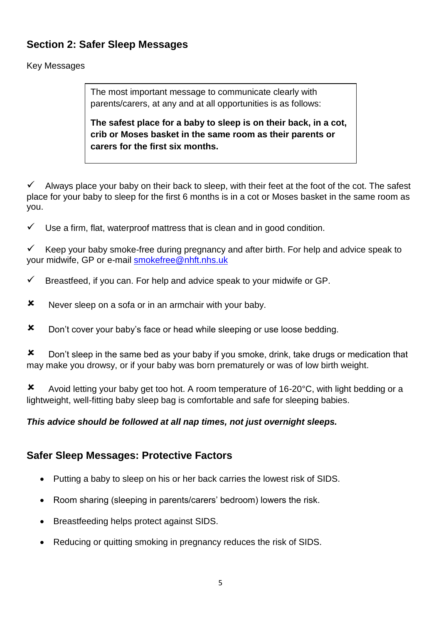# **Section 2: Safer Sleep Messages**

### Key Messages

The most important message to communicate clearly with parents/carers, at any and at all opportunities is as follows:

**The safest place for a baby to sleep is on their back, in a cot, crib or Moses basket in the same room as their parents or carers for the first six months.**

 $\checkmark$  Always place your baby on their back to sleep, with their feet at the foot of the cot. The safest place for your baby to sleep for the first 6 months is in a cot or Moses basket in the same room as you.

 $\checkmark$  Use a firm, flat, waterproof mattress that is clean and in good condition.

Keep your baby smoke-free during pregnancy and after birth. For help and advice speak to your midwife, GP or e-mail [smokefree@nhft.nhs.uk](mailto:smokefree@nhft.nhs.uk)

- $\checkmark$  Breastfeed, if you can. For help and advice speak to your midwife or GP.
- **x** Never sleep on a sofa or in an armchair with your baby.
- **x** Don't cover your baby's face or head while sleeping or use loose bedding.

**X** Don't sleep in the same bed as your baby if you smoke, drink, take drugs or medication that may make you drowsy, or if your baby was born prematurely or was of low birth weight.

Avoid letting your baby get too hot. A room temperature of 16-20°C, with light bedding or a lightweight, well-fitting baby sleep bag is comfortable and safe for sleeping babies.

### *This advice should be followed at all nap times, not just overnight sleeps.*

# **Safer Sleep Messages: Protective Factors**

- Putting a baby to sleep on his or her back carries the lowest risk of SIDS.
- Room sharing (sleeping in parents/carers' bedroom) lowers the risk.
- Breastfeeding helps protect against SIDS.
- Reducing or quitting smoking in pregnancy reduces the risk of SIDS.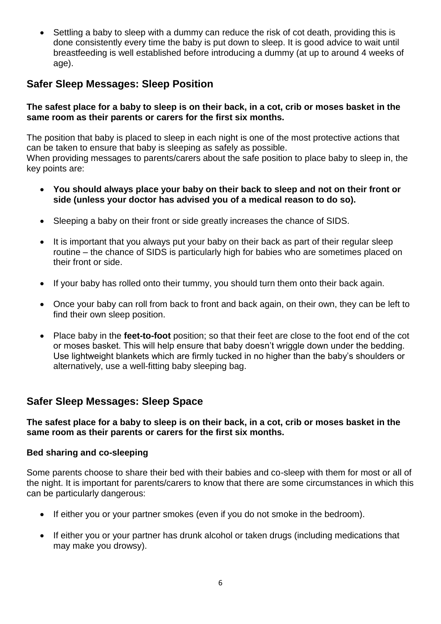Settling a baby to sleep with a dummy can reduce the risk of cot death, providing this is done consistently every time the baby is put down to sleep. It is good advice to wait until breastfeeding is well established before introducing a dummy (at up to around 4 weeks of age).

# **Safer Sleep Messages: Sleep Position**

#### **The safest place for a baby to sleep is on their back, in a cot, crib or moses basket in the same room as their parents or carers for the first six months.**

The position that baby is placed to sleep in each night is one of the most protective actions that can be taken to ensure that baby is sleeping as safely as possible. When providing messages to parents/carers about the safe position to place baby to sleep in, the key points are:

- **You should always place your baby on their back to sleep and not on their front or side (unless your doctor has advised you of a medical reason to do so).**
- Sleeping a baby on their front or side greatly increases the chance of SIDS.
- It is important that you always put your baby on their back as part of their regular sleep routine – the chance of SIDS is particularly high for babies who are sometimes placed on their front or side.
- If your baby has rolled onto their tummy, you should turn them onto their back again.
- Once your baby can roll from back to front and back again, on their own, they can be left to find their own sleep position.
- Place baby in the **feet-to-foot** position; so that their feet are close to the foot end of the cot or moses basket. This will help ensure that baby doesn't wriggle down under the bedding. Use lightweight blankets which are firmly tucked in no higher than the baby's shoulders or alternatively, use a well-fitting baby sleeping bag.

# **Safer Sleep Messages: Sleep Space**

**The safest place for a baby to sleep is on their back, in a cot, crib or moses basket in the same room as their parents or carers for the first six months.** 

#### **Bed sharing and co-sleeping**

Some parents choose to share their bed with their babies and co-sleep with them for most or all of the night. It is important for parents/carers to know that there are some circumstances in which this can be particularly dangerous:

- If either you or your partner smokes (even if you do not smoke in the bedroom).
- If either you or your partner has drunk alcohol or taken drugs (including medications that may make you drowsy).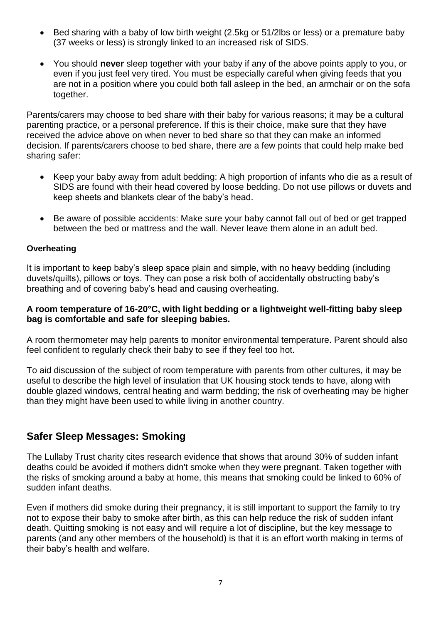- Bed sharing with a baby of low birth weight (2.5kg or 51/2lbs or less) or a premature baby (37 weeks or less) is strongly linked to an increased risk of SIDS.
- You should **never** sleep together with your baby if any of the above points apply to you, or even if you just feel very tired. You must be especially careful when giving feeds that you are not in a position where you could both fall asleep in the bed, an armchair or on the sofa together.

Parents/carers may choose to bed share with their baby for various reasons; it may be a cultural parenting practice, or a personal preference. If this is their choice, make sure that they have received the advice above on when never to bed share so that they can make an informed decision. If parents/carers choose to bed share, there are a few points that could help make bed sharing safer:

- Keep your baby away from adult bedding: A high proportion of infants who die as a result of SIDS are found with their head covered by loose bedding. Do not use pillows or duvets and keep sheets and blankets clear of the baby's head.
- Be aware of possible accidents: Make sure your baby cannot fall out of bed or get trapped between the bed or mattress and the wall. Never leave them alone in an adult bed.

#### **Overheating**

It is important to keep baby's sleep space plain and simple, with no heavy bedding (including duvets/quilts), pillows or toys. They can pose a risk both of accidentally obstructing baby's breathing and of covering baby's head and causing overheating.

#### **A room temperature of 16-20°C, with light bedding or a lightweight well-fitting baby sleep bag is comfortable and safe for sleeping babies.**

A room thermometer may help parents to monitor environmental temperature. Parent should also feel confident to regularly check their baby to see if they feel too hot.

To aid discussion of the subject of room temperature with parents from other cultures, it may be useful to describe the high level of insulation that UK housing stock tends to have, along with double glazed windows, central heating and warm bedding; the risk of overheating may be higher than they might have been used to while living in another country.

### **Safer Sleep Messages: Smoking**

The Lullaby Trust charity cites research evidence that shows that around 30% of sudden infant deaths could be avoided if mothers didn't smoke when they were pregnant. Taken together with the risks of smoking around a baby at home, this means that smoking could be linked to 60% of sudden infant deaths.

Even if mothers did smoke during their pregnancy, it is still important to support the family to try not to expose their baby to smoke after birth, as this can help reduce the risk of sudden infant death. Quitting smoking is not easy and will require a lot of discipline, but the key message to parents (and any other members of the household) is that it is an effort worth making in terms of their baby's health and welfare.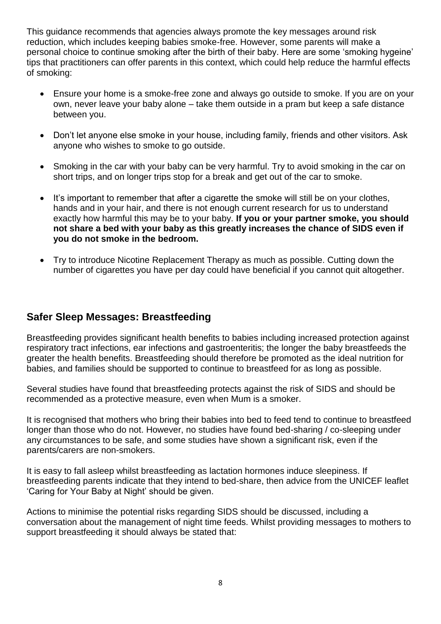This guidance recommends that agencies always promote the key messages around risk reduction, which includes keeping babies smoke-free. However, some parents will make a personal choice to continue smoking after the birth of their baby. Here are some 'smoking hygeine' tips that practitioners can offer parents in this context, which could help reduce the harmful effects of smoking:

- Ensure your home is a smoke-free zone and always go outside to smoke. If you are on your own, never leave your baby alone – take them outside in a pram but keep a safe distance between you.
- Don't let anyone else smoke in your house, including family, friends and other visitors. Ask anyone who wishes to smoke to go outside.
- Smoking in the car with your baby can be very harmful. Try to avoid smoking in the car on short trips, and on longer trips stop for a break and get out of the car to smoke.
- It's important to remember that after a cigarette the smoke will still be on your clothes, hands and in your hair, and there is not enough current research for us to understand exactly how harmful this may be to your baby. **If you or your partner smoke, you should not share a bed with your baby as this greatly increases the chance of SIDS even if you do not smoke in the bedroom.**
- Try to introduce Nicotine Replacement Therapy as much as possible. Cutting down the number of cigarettes you have per day could have beneficial if you cannot quit altogether.

### **Safer Sleep Messages: Breastfeeding**

Breastfeeding provides significant health benefits to babies including increased protection against respiratory tract infections, ear infections and gastroenteritis; the longer the baby breastfeeds the greater the health benefits. Breastfeeding should therefore be promoted as the ideal nutrition for babies, and families should be supported to continue to breastfeed for as long as possible.

Several studies have found that breastfeeding protects against the risk of SIDS and should be recommended as a protective measure, even when Mum is a smoker.

It is recognised that mothers who bring their babies into bed to feed tend to continue to breastfeed longer than those who do not. However, no studies have found bed-sharing / co-sleeping under any circumstances to be safe, and some studies have shown a significant risk, even if the parents/carers are non-smokers.

It is easy to fall asleep whilst breastfeeding as lactation hormones induce sleepiness. If breastfeeding parents indicate that they intend to bed-share, then advice from the UNICEF leaflet 'Caring for Your Baby at Night' should be given.

Actions to minimise the potential risks regarding SIDS should be discussed, including a conversation about the management of night time feeds. Whilst providing messages to mothers to support breastfeeding it should always be stated that: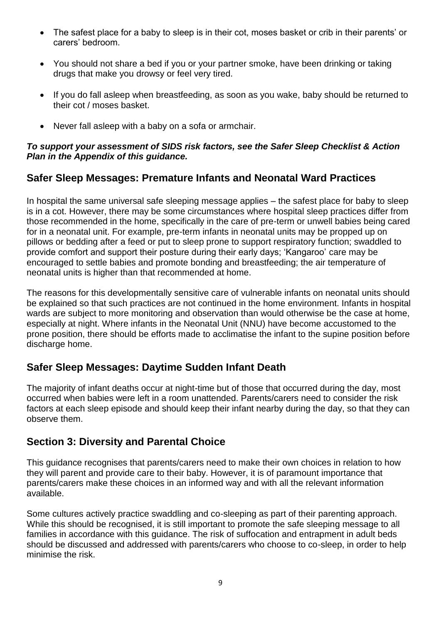- The safest place for a baby to sleep is in their cot, moses basket or crib in their parents' or carers' bedroom.
- You should not share a bed if you or your partner smoke, have been drinking or taking drugs that make you drowsy or feel very tired.
- If you do fall asleep when breastfeeding, as soon as you wake, baby should be returned to their cot / moses basket.
- Never fall asleep with a baby on a sofa or armchair.

### *To support your assessment of SIDS risk factors, see the Safer Sleep Checklist & Action Plan in the Appendix of this guidance.*

# **Safer Sleep Messages: Premature Infants and Neonatal Ward Practices**

In hospital the same universal safe sleeping message applies – the safest place for baby to sleep is in a cot. However, there may be some circumstances where hospital sleep practices differ from those recommended in the home, specifically in the care of pre-term or unwell babies being cared for in a neonatal unit. For example, pre-term infants in neonatal units may be propped up on pillows or bedding after a feed or put to sleep prone to support respiratory function; swaddled to provide comfort and support their posture during their early days; 'Kangaroo' care may be encouraged to settle babies and promote bonding and breastfeeding; the air temperature of neonatal units is higher than that recommended at home.

The reasons for this developmentally sensitive care of vulnerable infants on neonatal units should be explained so that such practices are not continued in the home environment. Infants in hospital wards are subject to more monitoring and observation than would otherwise be the case at home, especially at night. Where infants in the Neonatal Unit (NNU) have become accustomed to the prone position, there should be efforts made to acclimatise the infant to the supine position before discharge home.

# **Safer Sleep Messages: Daytime Sudden Infant Death**

The majority of infant deaths occur at night-time but of those that occurred during the day, most occurred when babies were left in a room unattended. Parents/carers need to consider the risk factors at each sleep episode and should keep their infant nearby during the day, so that they can observe them.

# **Section 3: Diversity and Parental Choice**

This guidance recognises that parents/carers need to make their own choices in relation to how they will parent and provide care to their baby. However, it is of paramount importance that parents/carers make these choices in an informed way and with all the relevant information available.

Some cultures actively practice swaddling and co-sleeping as part of their parenting approach. While this should be recognised, it is still important to promote the safe sleeping message to all families in accordance with this guidance. The risk of suffocation and entrapment in adult beds should be discussed and addressed with parents/carers who choose to co-sleep, in order to help minimise the risk.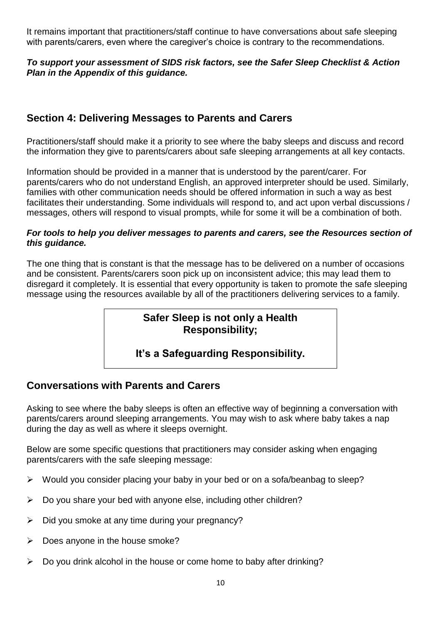It remains important that practitioners/staff continue to have conversations about safe sleeping with parents/carers, even where the caregiver's choice is contrary to the recommendations.

### *To support your assessment of SIDS risk factors, see the Safer Sleep Checklist & Action Plan in the Appendix of this guidance.*

# **Section 4: Delivering Messages to Parents and Carers**

Practitioners/staff should make it a priority to see where the baby sleeps and discuss and record the information they give to parents/carers about safe sleeping arrangements at all key contacts.

Information should be provided in a manner that is understood by the parent/carer. For parents/carers who do not understand English, an approved interpreter should be used. Similarly, families with other communication needs should be offered information in such a way as best facilitates their understanding. Some individuals will respond to, and act upon verbal discussions / messages, others will respond to visual prompts, while for some it will be a combination of both.

#### *For tools to help you deliver messages to parents and carers, see the Resources section of this guidance.*

The one thing that is constant is that the message has to be delivered on a number of occasions and be consistent. Parents/carers soon pick up on inconsistent advice; this may lead them to disregard it completely. It is essential that every opportunity is taken to promote the safe sleeping message using the resources available by all of the practitioners delivering services to a family.

# **Safer Sleep is not only a Health Responsibility;**

# **It's a Safeguarding Responsibility.**

# **Conversations with Parents and Carers**

Asking to see where the baby sleeps is often an effective way of beginning a conversation with parents/carers around sleeping arrangements. You may wish to ask where baby takes a nap during the day as well as where it sleeps overnight.

Below are some specific questions that practitioners may consider asking when engaging parents/carers with the safe sleeping message:

- $\triangleright$  Would you consider placing your baby in your bed or on a sofa/beanbag to sleep?
- $\triangleright$  Do you share your bed with anyone else, including other children?
- $\triangleright$  Did you smoke at any time during your pregnancy?
- $\triangleright$  Does anyone in the house smoke?
- $\triangleright$  Do you drink alcohol in the house or come home to baby after drinking?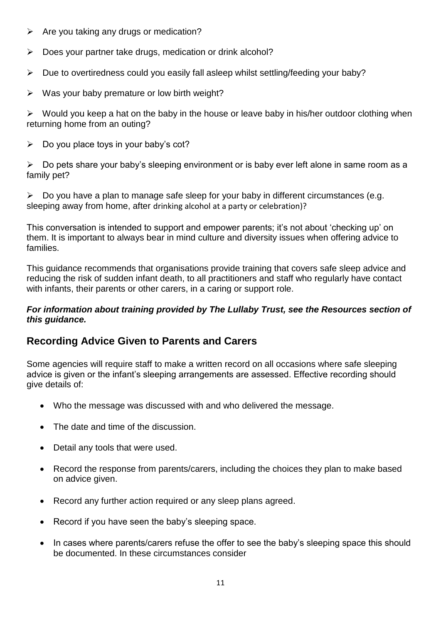- $\triangleright$  Are you taking any drugs or medication?
- $\triangleright$  Does your partner take drugs, medication or drink alcohol?
- $\triangleright$  Due to overtiredness could you easily fall asleep whilst settling/feeding your baby?
- $\triangleright$  Was your baby premature or low birth weight?

 $\triangleright$  Would you keep a hat on the baby in the house or leave baby in his/her outdoor clothing when returning home from an outing?

 $\triangleright$  Do you place toys in your baby's cot?

 $\triangleright$  Do pets share your baby's sleeping environment or is baby ever left alone in same room as a family pet?

 $\triangleright$  Do you have a plan to manage safe sleep for your baby in different circumstances (e.g. sleeping away from home, after drinking alcohol at a party or celebration)?

This conversation is intended to support and empower parents; it's not about 'checking up' on them. It is important to always bear in mind culture and diversity issues when offering advice to families.

This guidance recommends that organisations provide training that covers safe sleep advice and reducing the risk of sudden infant death, to all practitioners and staff who regularly have contact with infants, their parents or other carers, in a caring or support role.

#### *For information about training provided by The Lullaby Trust, see the Resources section of this guidance.*

# **Recording Advice Given to Parents and Carers**

Some agencies will require staff to make a written record on all occasions where safe sleeping advice is given or the infant's sleeping arrangements are assessed. Effective recording should give details of:

- Who the message was discussed with and who delivered the message.
- The date and time of the discussion.
- Detail any tools that were used.
- Record the response from parents/carers, including the choices they plan to make based on advice given.
- Record any further action required or any sleep plans agreed.
- Record if you have seen the baby's sleeping space.
- In cases where parents/carers refuse the offer to see the baby's sleeping space this should be documented. In these circumstances consider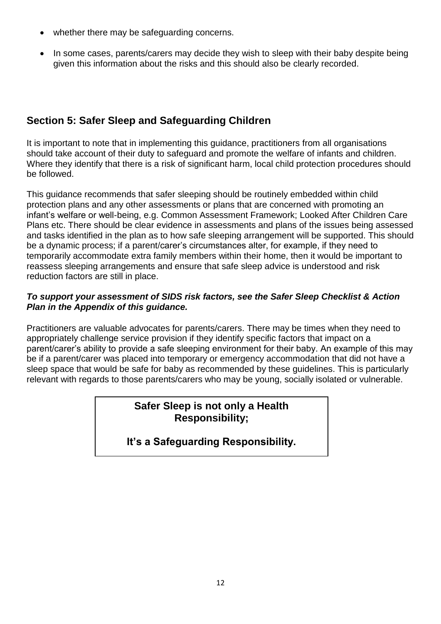- whether there may be safeguarding concerns.
- In some cases, parents/carers may decide they wish to sleep with their baby despite being given this information about the risks and this should also be clearly recorded.

# **Section 5: Safer Sleep and Safeguarding Children**

It is important to note that in implementing this guidance, practitioners from all organisations should take account of their duty to safeguard and promote the welfare of infants and children. Where they identify that there is a risk of significant harm, local child protection procedures should be followed.

This guidance recommends that safer sleeping should be routinely embedded within child protection plans and any other assessments or plans that are concerned with promoting an infant's welfare or well-being, e.g. Common Assessment Framework; Looked After Children Care Plans etc. There should be clear evidence in assessments and plans of the issues being assessed and tasks identified in the plan as to how safe sleeping arrangement will be supported. This should be a dynamic process; if a parent/carer's circumstances alter, for example, if they need to temporarily accommodate extra family members within their home, then it would be important to reassess sleeping arrangements and ensure that safe sleep advice is understood and risk reduction factors are still in place.

#### *To support your assessment of SIDS risk factors, see the Safer Sleep Checklist & Action Plan in the Appendix of this guidance.*

Practitioners are valuable advocates for parents/carers. There may be times when they need to appropriately challenge service provision if they identify specific factors that impact on a parent/carer's ability to provide a safe sleeping environment for their baby. An example of this may be if a parent/carer was placed into temporary or emergency accommodation that did not have a sleep space that would be safe for baby as recommended by these guidelines. This is particularly relevant with regards to those parents/carers who may be young, socially isolated or vulnerable.

### **Safer Sleep is not only a Health Responsibility;**

# **It's a Safeguarding Responsibility.**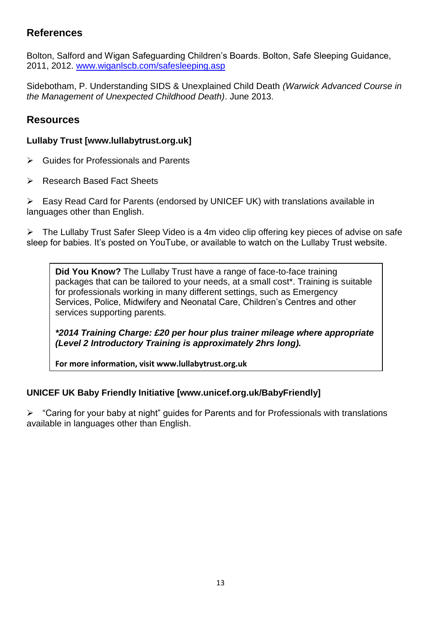# **References**

Bolton, Salford and Wigan Safeguarding Children's Boards. Bolton, Safe Sleeping Guidance, 2011, 2012. [www.wiganlscb.com/safesleeping.asp](http://www.wiganlscb.com/safesleeping.asp)

Sidebotham, P. Understanding SIDS & Unexplained Child Death *(Warwick Advanced Course in the Management of Unexpected Childhood Death)*. June 2013.

### **Resources**

### **Lullaby Trust [www.lullabytrust.org.uk]**

- $\triangleright$  Guides for Professionals and Parents
- **EXEC** Research Based Fact Sheets

Easy Read Card for Parents (endorsed by UNICEF UK) with translations available in languages other than English.

The Lullaby Trust Safer Sleep Video is a 4m video clip offering key pieces of advise on safe sleep for babies. It's posted on YouTube, or available to watch on the Lullaby Trust website.

**Did You Know?** The Lullaby Trust have a range of face-to-face training packages that can be tailored to your needs, at a small cost\*. Training is suitable for professionals working in many different settings, such as Emergency Services, Police, Midwifery and Neonatal Care, Children's Centres and other services supporting parents.

*\*2014 Training Charge: £20 per hour plus trainer mileage where appropriate (Level 2 Introductory Training is approximately 2hrs long).*

**For more information, visit www.lullabytrust.org.uk**

### **UNICEF UK Baby Friendly Initiative [www.unicef.org.uk/BabyFriendly]**

 $\triangleright$  "Caring for your baby at night" guides for Parents and for Professionals with translations available in languages other than English.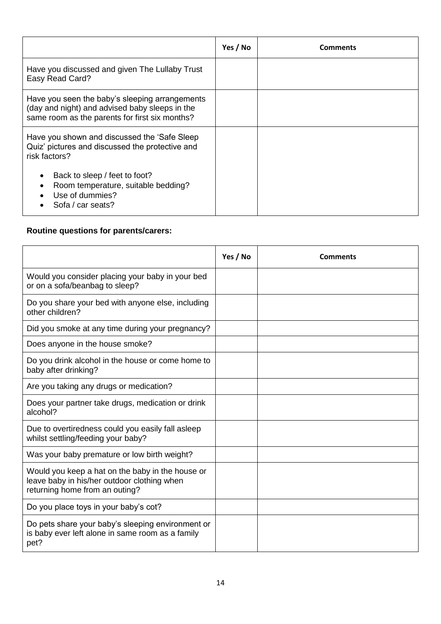|                                                                                                                                                     | Yes / No | <b>Comments</b> |
|-----------------------------------------------------------------------------------------------------------------------------------------------------|----------|-----------------|
| Have you discussed and given The Lullaby Trust<br>Easy Read Card?                                                                                   |          |                 |
| Have you seen the baby's sleeping arrangements<br>(day and night) and advised baby sleeps in the<br>same room as the parents for first six months?  |          |                 |
| Have you shown and discussed the 'Safe Sleep'<br>Quiz' pictures and discussed the protective and<br>risk factors?                                   |          |                 |
| Back to sleep / feet to foot?<br>$\bullet$<br>Room temperature, suitable bedding?<br>$\bullet$<br>Use of dummies?<br>$\bullet$<br>Sofa / car seats? |          |                 |

### **Routine questions for parents/carers:**

|                                                                                                                                   | Yes / No | Comments |
|-----------------------------------------------------------------------------------------------------------------------------------|----------|----------|
| Would you consider placing your baby in your bed<br>or on a sofa/beanbag to sleep?                                                |          |          |
| Do you share your bed with anyone else, including<br>other children?                                                              |          |          |
| Did you smoke at any time during your pregnancy?                                                                                  |          |          |
| Does anyone in the house smoke?                                                                                                   |          |          |
| Do you drink alcohol in the house or come home to<br>baby after drinking?                                                         |          |          |
| Are you taking any drugs or medication?                                                                                           |          |          |
| Does your partner take drugs, medication or drink<br>alcohol?                                                                     |          |          |
| Due to overtiredness could you easily fall asleep<br>whilst settling/feeding your baby?                                           |          |          |
| Was your baby premature or low birth weight?                                                                                      |          |          |
| Would you keep a hat on the baby in the house or<br>leave baby in his/her outdoor clothing when<br>returning home from an outing? |          |          |
| Do you place toys in your baby's cot?                                                                                             |          |          |
| Do pets share your baby's sleeping environment or<br>is baby ever left alone in same room as a family<br>pet?                     |          |          |